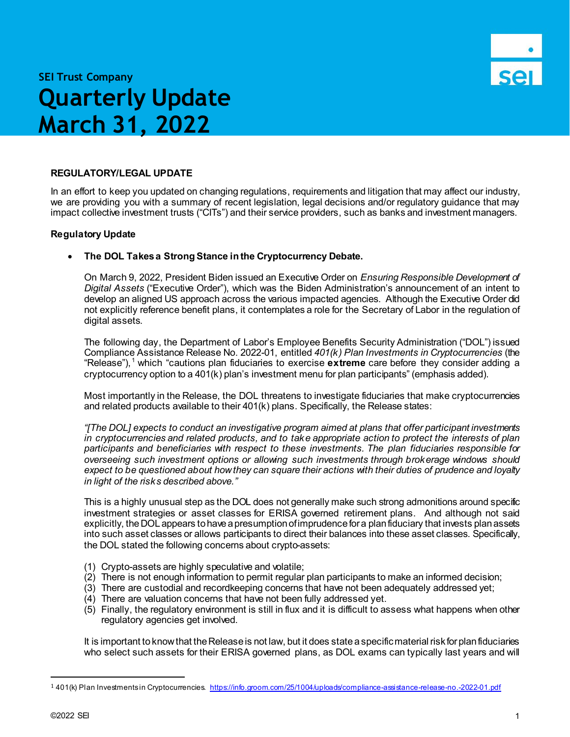

# **SEI Trust Company Quarterly Update March 31, 2022**

# **REGULATORY/LEGAL UPDATE**

In an effort to keep you updated on changing regulations, requirements and litigation that may affect our industry, we are providing you with a summary of recent legislation, legal decisions and/or regulatory guidance that may impact collective investment trusts ("CITs") and their service providers, such as banks and investment managers.

## **Regulatory Update**

### • **The DOL Takes a Strong Stance in the Cryptocurrency Debate.**

On March 9, 2022, President Biden issued an Executive Order on *Ensuring Responsible Development of Digital Assets* ("Executive Order"), which was the Biden Administration's announcement of an intent to develop an aligned US approach across the various impacted agencies. Although the Executive Order did not explicitly reference benefit plans, it contemplates a role for the Secretary of Labor in the regulation of digital assets.

The following day, the Department of Labor's Employee Benefits Security Administration ("DOL") issued Compliance Assistance Release No. 2022-01, entitled *401(k) Plan Investments in Cryptocurrencies* (the "Release"), [1](#page-0-0) which "cautions plan fiduciaries to exercise **extreme** care before they consider adding a cryptocurrency option to a  $401(k)$  plan's investment menu for plan participants" (emphasis added).

Most importantly in the Release, the DOL threatens to investigate fiduciaries that make cryptocurrencies and related products available to their 401(k) plans. Specifically, the Release states:

*"[The DOL] expects to conduct an investigative program aimed at plans that offer participant investments in cryptocurrencies and related products, and to take appropriate action to protect the interests of plan participants and beneficiaries with respect to these investments. The plan fiduciaries responsible for overseeing such investment options or allowing such investments through brokerage windows should expect to be questioned about how they can square their actions with their duties of prudence and loyalty in light of the risks described above."*

This is a highly unusual step as the DOL does not generally make such strong admonitions around specific investment strategies or asset classes for ERISA governed retirement plans. And although not said explicitly, the DOL appears to have a presumption of imprudence for a plan fiduciary that invests plan assets into such asset classes or allows participants to direct their balances into these asset classes. Specifically, the DOL stated the following concerns about crypto-assets:

- (1) Crypto-assets are highly speculative and volatile;
- (2) There is not enough information to permit regular plan participants to make an informed decision;
- (3) There are custodial and recordkeeping concerns that have not been adequately addressed yet;
- (4) There are valuation concerns that have not been fully addressed yet.
- (5) Finally, the regulatory environment is still in flux and it is difficult to assess what happens when other regulatory agencies get involved.

It is important to know that the Release is not law, but it does state a specific material risk for plan fiduciaries who select such assets for their ERISA governed plans, as DOL exams can typically last years and will

<span id="page-0-0"></span> 1 401(k) Plan Investments in Cryptocurrencies.<https://info.groom.com/25/1004/uploads/compliance-assistance-release-no.-2022-01.pdf>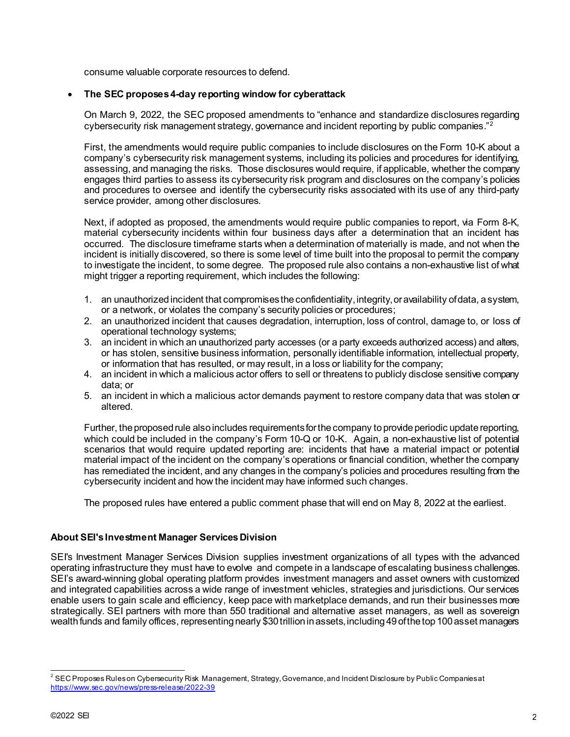consume valuable corporate resources to defend.

# • **The SEC proposes 4-day reporting window for cyberattack**

On March 9, 2022, the SEC proposed amendments to "enhance and standardize disclosures regarding cybersecurity risk management strategy, governance and incident reporting by public companies."<sup>[2](#page-1-0)</sup>

First, the amendments would require public companies to include disclosures on the Form 10-K about a company's cybersecurity risk management systems, including its policies and procedures for identifying, assessing, and managing the risks. Those disclosures would require, if applicable, whether the company engages third parties to assess its cybersecurity risk program and disclosures on the company's policies and procedures to oversee and identify the cybersecurity risks associated with its use of any third-party service provider, among other disclosures.

Next, if adopted as proposed, the amendments would require public companies to report, via Form 8-K, material cybersecurity incidents within four business days after a determination that an incident has occurred. The disclosure timeframe starts when a determination of materially is made, and not when the incident is initially discovered, so there is some level of time built into the proposal to permit the company to investigate the incident, to some degree. The proposed rule also contains a non-exhaustive list of what might trigger a reporting requirement, which includes the following:

- 1. an unauthorized incident that compromises the confidentiality, integrity, or availability of data, a system, or a network, or violates the company's security policies or procedures;
- 2. an unauthorized incident that causes degradation, interruption, loss of control, damage to, or loss of operational technology systems;
- 3. an incident in which an unauthorized party accesses (or a party exceeds authorized access) and alters, or has stolen, sensitive business information, personally identifiable information, intellectual property, or information that has resulted, or may result, in a loss or liability for the company;
- 4. an incident in which a malicious actor offers to sell or threatens to publicly disclose sensitive company data; or
- 5. an incident in which a malicious actor demands payment to restore company data that was stolen or altered.

Further, the proposed rule also includes requirements for the company to provide periodic update reporting, which could be included in the company's Form 10-Q or 10-K. Again, a non-exhaustive list of potential scenarios that would require updated reporting are: incidents that have a material impact or potential material impact of the incident on the company's operations or financial condition, whether the company has remediated the incident, and any changes in the company's policies and procedures resulting from the cybersecurity incident and how the incident may have informed such changes.

The proposed rules have entered a public comment phase that will end on May 8, 2022 at the earliest.

#### **About SEI's Investment Manager Services Division**

SEI's Investment Manager Services Division supplies investment organizations of all types with the advanced operating infrastructure they must have to evolve and compete in a landscape of escalating business challenges. SEI's award-winning global operating platform provides investment managers and asset owners with customized and integrated capabilities across a wide range of investment vehicles, strategies and jurisdictions. Our services enable users to gain scale and efficiency, keep pace with marketplace demands, and run their businesses more strategically. SEI partners with more than 550 traditional and alternative asset managers, as well as sovereign wealth funds and family offices, representing nearly \$30 trillion in assets, including 49 of the top 100 asset managers

<span id="page-1-0"></span> <sup>2</sup> SEC Proposes Rules on Cybersecurity Risk Management, Strategy, Governance, and Incident Disclosure by Public Companies at <https://www.sec.gov/news/press-release/2022-39>